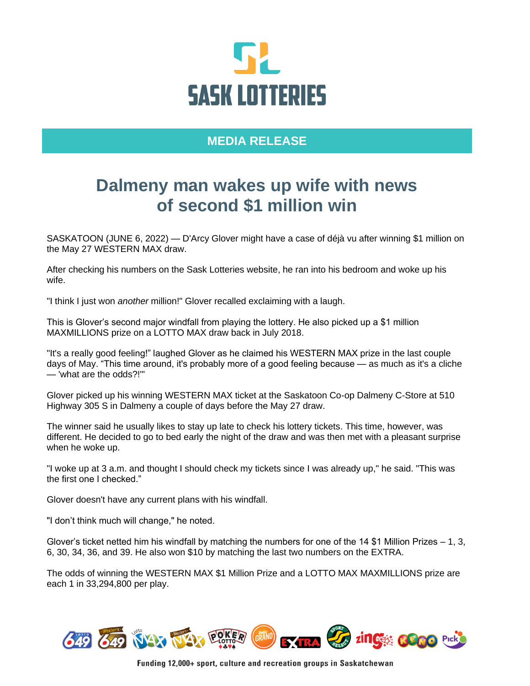

## **MEDIA RELEASE**

## **Dalmeny man wakes up wife with news of second \$1 million win**

SASKATOON (JUNE 6, 2022) — D'Arcy Glover might have a case of déjà vu after winning \$1 million on the May 27 WESTERN MAX draw.

After checking his numbers on the Sask Lotteries website, he ran into his bedroom and woke up his wife.

"I think I just won *another* million!" Glover recalled exclaiming with a laugh.

This is Glover's second major windfall from playing the lottery. He also picked up a \$1 million MAXMILLIONS prize on a LOTTO MAX draw back in July 2018.

"It's a really good feeling!" laughed Glover as he claimed his WESTERN MAX prize in the last couple days of May. "This time around, it's probably more of a good feeling because — as much as it's a cliche — 'what are the odds?!'"

Glover picked up his winning WESTERN MAX ticket at the Saskatoon Co-op Dalmeny C-Store at 510 Highway 305 S in Dalmeny a couple of days before the May 27 draw.

The winner said he usually likes to stay up late to check his lottery tickets. This time, however, was different. He decided to go to bed early the night of the draw and was then met with a pleasant surprise when he woke up.

"I woke up at 3 a.m. and thought I should check my tickets since I was already up," he said. "This was the first one I checked."

Glover doesn't have any current plans with his windfall.

"I don't think much will change," he noted.

Glover's ticket netted him his windfall by matching the numbers for one of the 14 \$1 Million Prizes – 1, 3, 6, 30, 34, 36, and 39. He also won \$10 by matching the last two numbers on the EXTRA.

The odds of winning the WESTERN MAX \$1 Million Prize and a LOTTO MAX MAXMILLIONS prize are each 1 in 33,294,800 per play.